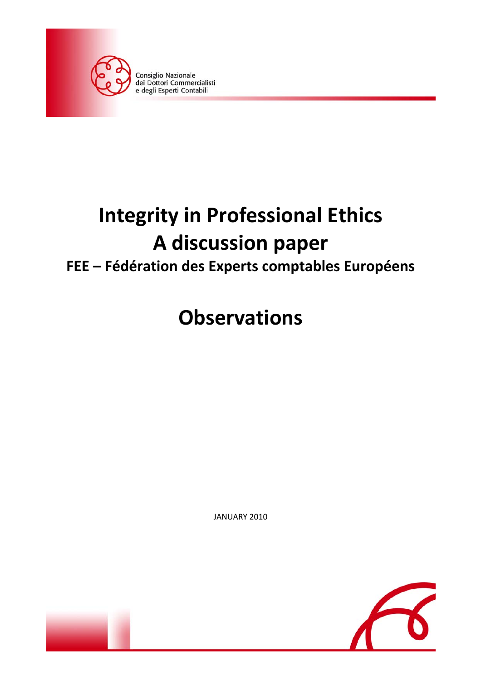

# **Integrity in Professional Ethics A discussion paper**

### **FEE – Fédération des Experts comptables Européens**

## **Observations**

JANUARY 2010



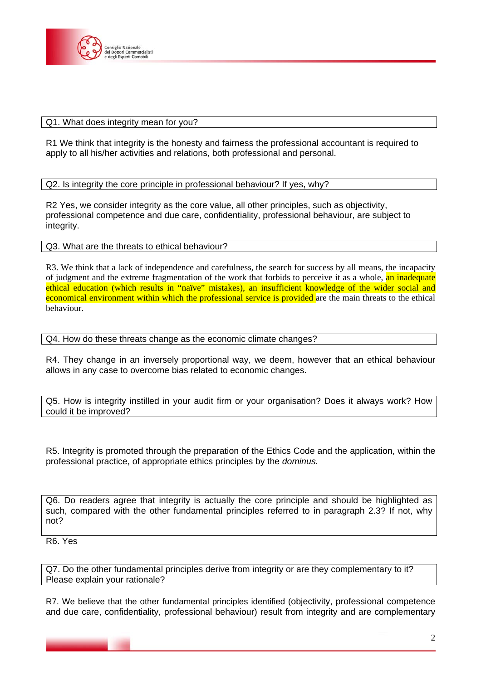

#### Q1. What does integrity mean for you?

R1 We think that integrity is the honesty and fairness the professional accountant is required to apply to all his/her activities and relations, both professional and personal.

Q2. Is integrity the core principle in professional behaviour? If yes, why?

R2 Yes, we consider integrity as the core value, all other principles, such as objectivity, professional competence and due care, confidentiality, professional behaviour, are subject to integrity.

Q3. What are the threats to ethical behaviour?

R3. We think that a lack of independence and carefulness, the search for success by all means, the incapacity of judgment and the extreme fragmentation of the work that forbids to perceive it as a whole, an inadequate ethical education (which results in "naïve" mistakes), an insufficient knowledge of the wider social and economical environment within which the professional service is provided are the main threats to the ethical behaviour.

Q4. How do these threats change as the economic climate changes?

R4. They change in an inversely proportional way, we deem, however that an ethical behaviour allows in any case to overcome bias related to economic changes.

Q5. How is integrity instilled in your audit firm or your organisation? Does it always work? How could it be improved?

R5. Integrity is promoted through the preparation of the Ethics Code and the application, within the professional practice, of appropriate ethics principles by the *dominus.*

Q6. Do readers agree that integrity is actually the core principle and should be highlighted as such, compared with the other fundamental principles referred to in paragraph 2.3? If not, why not?

R6. Yes

Q7. Do the other fundamental principles derive from integrity or are they complementary to it? Please explain your rationale?

R7. We believe that the other fundamental principles identified (objectivity, professional competence and due care, confidentiality, professional behaviour) result from integrity and are complementary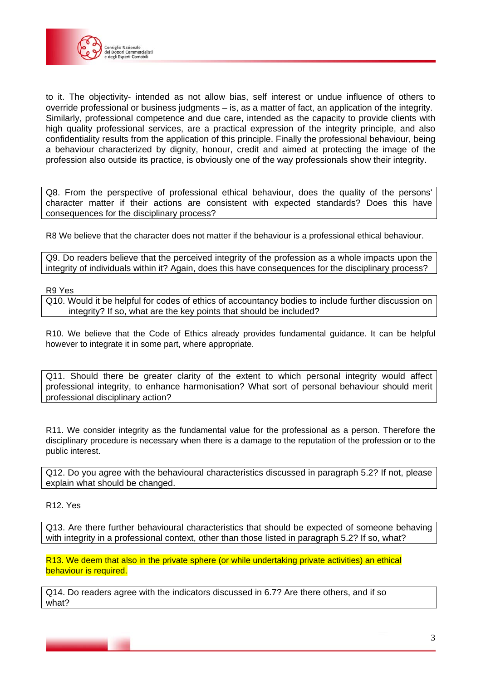

to it. The objectivity- intended as not allow bias, self interest or undue influence of others to override professional or business judgments – is, as a matter of fact, an application of the integrity. Similarly, professional competence and due care, intended as the capacity to provide clients with high quality professional services, are a practical expression of the integrity principle, and also confidentiality results from the application of this principle. Finally the professional behaviour, being a behaviour characterized by dignity, honour, credit and aimed at protecting the image of the profession also outside its practice, is obviously one of the way professionals show their integrity.

Q8. From the perspective of professional ethical behaviour, does the quality of the persons' character matter if their actions are consistent with expected standards? Does this have consequences for the disciplinary process?

R8 We believe that the character does not matter if the behaviour is a professional ethical behaviour.

Q9. Do readers believe that the perceived integrity of the profession as a whole impacts upon the integrity of individuals within it? Again, does this have consequences for the disciplinary process?

R9 Yes

Q10. Would it be helpful for codes of ethics of accountancy bodies to include further discussion on integrity? If so, what are the key points that should be included?

R10. We believe that the Code of Ethics already provides fundamental guidance. It can be helpful however to integrate it in some part, where appropriate.

Q11. Should there be greater clarity of the extent to which personal integrity would affect professional integrity, to enhance harmonisation? What sort of personal behaviour should merit professional disciplinary action?

R11. We consider integrity as the fundamental value for the professional as a person. Therefore the disciplinary procedure is necessary when there is a damage to the reputation of the profession or to the public interest.

Q12. Do you agree with the behavioural characteristics discussed in paragraph 5.2? If not, please explain what should be changed.

R12. Yes

Q13. Are there further behavioural characteristics that should be expected of someone behaving with integrity in a professional context, other than those listed in paragraph 5.2? If so, what?

R13. We deem that also in the private sphere (or while undertaking private activities) an ethical behaviour is required.

Q14. Do readers agree with the indicators discussed in 6.7? Are there others, and if so what?